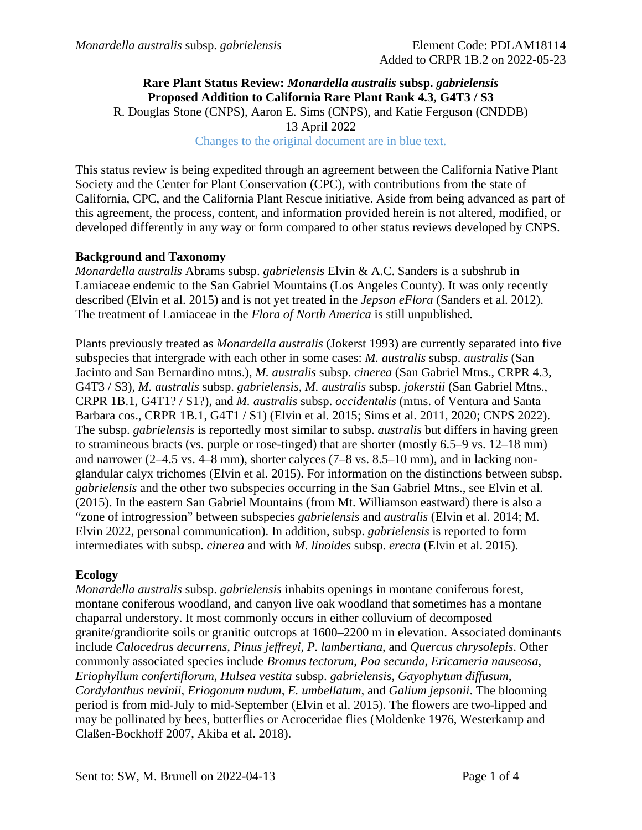## **Rare Plant Status Review:** *Monardella australis* **subsp.** *gabrielensis* **Proposed Addition to California Rare Plant Rank 4.3, G4T3 / S3** R. Douglas Stone (CNPS), Aaron E. Sims (CNPS), and Katie Ferguson (CNDDB) 13 April 2022 Changes to the original document are in blue text.

This status review is being expedited through an agreement between the California Native Plant Society and the Center for Plant Conservation (CPC), with contributions from the state of California, CPC, and the California Plant Rescue initiative. Aside from being advanced as part of this agreement, the process, content, and information provided herein is not altered, modified, or developed differently in any way or form compared to other status reviews developed by CNPS.

# **Background and Taxonomy**

*Monardella australis* Abrams subsp. *gabrielensis* Elvin & A.C. Sanders is a subshrub in Lamiaceae endemic to the San Gabriel Mountains (Los Angeles County). It was only recently described (Elvin et al. 2015) and is not yet treated in the *Jepson eFlora* (Sanders et al. 2012). The treatment of Lamiaceae in the *Flora of North America* is still unpublished.

Plants previously treated as *Monardella australis* (Jokerst 1993) are currently separated into five subspecies that intergrade with each other in some cases: *M. australis* subsp. *australis* (San Jacinto and San Bernardino mtns.), *M. australis* subsp. *cinerea* (San Gabriel Mtns., CRPR 4.3, G4T3 / S3), *M. australis* subsp. *gabrielensis*, *M. australis* subsp. *jokerstii* (San Gabriel Mtns., CRPR 1B.1, G4T1? / S1?), and *M. australis* subsp. *occidentalis* (mtns. of Ventura and Santa Barbara cos., CRPR 1B.1, G4T1 / S1) (Elvin et al. 2015; Sims et al. 2011, 2020; CNPS 2022). The subsp. *gabrielensis* is reportedly most similar to subsp. *australis* but differs in having green to stramineous bracts (vs. purple or rose-tinged) that are shorter (mostly 6.5–9 vs. 12–18 mm) and narrower (2–4.5 vs. 4–8 mm), shorter calyces (7–8 vs. 8.5–10 mm), and in lacking nonglandular calyx trichomes (Elvin et al. 2015). For information on the distinctions between subsp. *gabrielensis* and the other two subspecies occurring in the San Gabriel Mtns., see Elvin et al. (2015). In the eastern San Gabriel Mountains (from Mt. Williamson eastward) there is also a "zone of introgression" between subspecies *gabrielensis* and *australis* (Elvin et al. 2014; M. Elvin 2022, personal communication). In addition, subsp. *gabrielensis* is reported to form intermediates with subsp. *cinerea* and with *M. linoides* subsp. *erecta* (Elvin et al. 2015).

### **Ecology**

*Monardella australis* subsp. *gabrielensis* inhabits openings in montane coniferous forest, montane coniferous woodland, and canyon live oak woodland that sometimes has a montane chaparral understory. It most commonly occurs in either colluvium of decomposed granite/grandiorite soils or granitic outcrops at 1600–2200 m in elevation. Associated dominants include *Calocedrus decurrens*, *Pinus jeffreyi*, *P. lambertiana*, and *Quercus chrysolepis*. Other commonly associated species include *Bromus tectorum*, *Poa secunda*, *Ericameria nauseosa*, *Eriophyllum confertiflorum*, *Hulsea vestita* subsp. *gabrielensis*, *Gayophytum diffusum*, *Cordylanthus nevinii*, *Eriogonum nudum*, *E. umbellatum*, and *Galium jepsonii*. The blooming period is from mid-July to mid-September (Elvin et al. 2015). The flowers are two-lipped and may be pollinated by bees, butterflies or Acroceridae flies (Moldenke 1976, Westerkamp and Claßen-Bockhoff 2007, Akiba et al. 2018).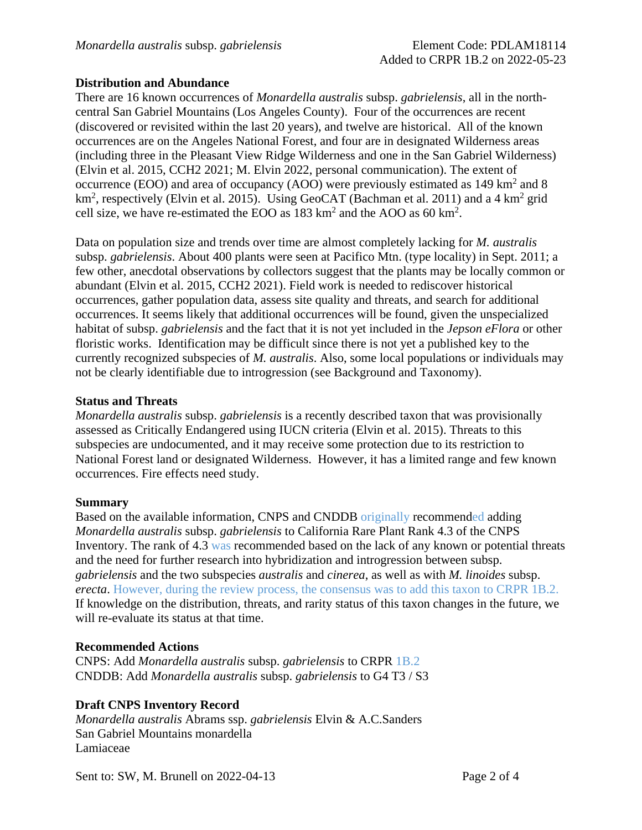### **Distribution and Abundance**

There are 16 known occurrences of *Monardella australis* subsp. *gabrielensis*, all in the northcentral San Gabriel Mountains (Los Angeles County). Four of the occurrences are recent (discovered or revisited within the last 20 years), and twelve are historical. All of the known occurrences are on the Angeles National Forest, and four are in designated Wilderness areas (including three in the Pleasant View Ridge Wilderness and one in the San Gabriel Wilderness) (Elvin et al. 2015, CCH2 2021; M. Elvin 2022, personal communication). The extent of occurrence (EOO) and area of occupancy (AOO) were previously estimated as 149 km<sup>2</sup> and 8 km<sup>2</sup>, respectively (Elvin et al. 2015). Using GeoCAT (Bachman et al. 2011) and a 4 km<sup>2</sup> grid cell size, we have re-estimated the EOO as  $183 \text{ km}^2$  and the AOO as 60 km<sup>2</sup>.

Data on population size and trends over time are almost completely lacking for *M. australis* subsp. *gabrielensis*. About 400 plants were seen at Pacifico Mtn. (type locality) in Sept. 2011; a few other, anecdotal observations by collectors suggest that the plants may be locally common or abundant (Elvin et al. 2015, CCH2 2021). Field work is needed to rediscover historical occurrences, gather population data, assess site quality and threats, and search for additional occurrences. It seems likely that additional occurrences will be found, given the unspecialized habitat of subsp. *gabrielensis* and the fact that it is not yet included in the *Jepson eFlora* or other floristic works. Identification may be difficult since there is not yet a published key to the currently recognized subspecies of *M. australis*. Also, some local populations or individuals may not be clearly identifiable due to introgression (see Background and Taxonomy).

#### **Status and Threats**

*Monardella australis* subsp. *gabrielensis* is a recently described taxon that was provisionally assessed as Critically Endangered using IUCN criteria (Elvin et al. 2015). Threats to this subspecies are undocumented, and it may receive some protection due to its restriction to National Forest land or designated Wilderness. However, it has a limited range and few known occurrences. Fire effects need study.

#### **Summary**

Based on the available information, CNPS and CNDDB originally recommended adding *Monardella australis* subsp. *gabrielensis* to California Rare Plant Rank 4.3 of the CNPS Inventory. The rank of 4.3 was recommended based on the lack of any known or potential threats and the need for further research into hybridization and introgression between subsp. *gabrielensis* and the two subspecies *australis* and *cinerea*, as well as with *M. linoides* subsp. *erecta*. However, during the review process, the consensus was to add this taxon to CRPR 1B.2. If knowledge on the distribution, threats, and rarity status of this taxon changes in the future, we will re-evaluate its status at that time.

#### **Recommended Actions**

CNPS: Add *Monardella australis* subsp. *gabrielensis* to CRPR 1B.2 CNDDB: Add *Monardella australis* subsp. *gabrielensis* to G4 T3 / S3

#### **Draft CNPS Inventory Record**

*Monardella australis* Abrams ssp. *gabrielensis* Elvin & A.C.Sanders San Gabriel Mountains monardella Lamiaceae

Sent to: SW, M. Brunell on 2022-04-13 Page 2 of 4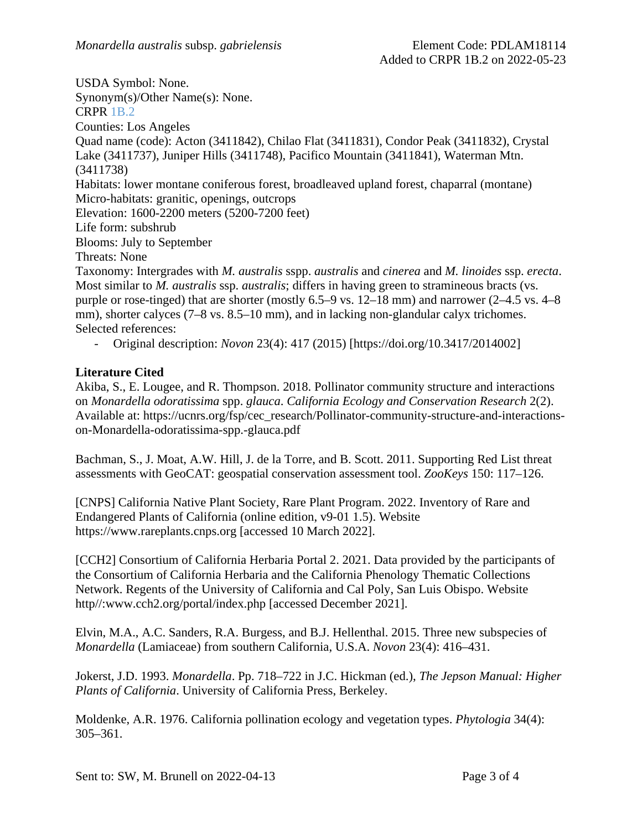USDA Symbol: None. Synonym(s)/Other Name(s): None. CRPR 1B.2 Counties: Los Angeles Quad name (code): Acton (3411842), Chilao Flat (3411831), Condor Peak (3411832), Crystal Lake (3411737), Juniper Hills (3411748), Pacifico Mountain (3411841), Waterman Mtn. (3411738) Habitats: lower montane coniferous forest, broadleaved upland forest, chaparral (montane) Micro-habitats: granitic, openings, outcrops Elevation: 1600-2200 meters (5200-7200 feet) Life form: subshrub Blooms: July to September Threats: None Taxonomy: Intergrades with *M. australis* sspp. *australis* and *cinerea* and *M. linoides* ssp. *erecta*. Most similar to *M. australis* ssp. *australis*; differs in having green to stramineous bracts (vs. purple or rose-tinged) that are shorter (mostly 6.5–9 vs. 12–18 mm) and narrower (2–4.5 vs. 4–8 mm), shorter calvees (7–8 vs. 8.5–10 mm), and in lacking non-glandular calvx trichomes. Selected references:

- Original description: *Novon* 23(4): 417 (2015) [https://doi.org/10.3417/2014002]

### **Literature Cited**

Akiba, S., E. Lougee, and R. Thompson. 2018. Pollinator community structure and interactions on *Monardella odoratissima* spp. *glauca*. *California Ecology and Conservation Research* 2(2). Available at: https://ucnrs.org/fsp/cec\_research/Pollinator-community-structure-and-interactionson-Monardella-odoratissima-spp.-glauca.pdf

Bachman, S., J. Moat, A.W. Hill, J. de la Torre, and B. Scott. 2011. Supporting Red List threat assessments with GeoCAT: geospatial conservation assessment tool. *ZooKeys* 150: 117–126.

[CNPS] California Native Plant Society, Rare Plant Program. 2022. Inventory of Rare and Endangered Plants of California (online edition, v9-01 1.5). Website https://www.rareplants.cnps.org [accessed 10 March 2022].

[CCH2] Consortium of California Herbaria Portal 2. 2021. Data provided by the participants of the Consortium of California Herbaria and the California Phenology Thematic Collections Network. Regents of the University of California and Cal Poly, San Luis Obispo. Website http//:www.cch2.org/portal/index.php [accessed December 2021].

Elvin, M.A., A.C. Sanders, R.A. Burgess, and B.J. Hellenthal. 2015. Three new subspecies of *Monardella* (Lamiaceae) from southern California, U.S.A. *Novon* 23(4): 416–431.

Jokerst, J.D. 1993. *Monardella*. Pp. 718–722 in J.C. Hickman (ed.), *The Jepson Manual: Higher Plants of California*. University of California Press, Berkeley.

Moldenke, A.R. 1976. California pollination ecology and vegetation types. *Phytologia* 34(4): 305–361.